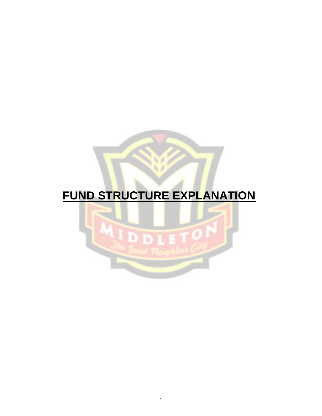# **FUND STRUCTURE EXPLANATION**

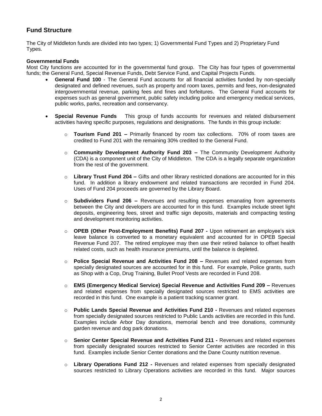# **Fund Structure**

The City of Middleton funds are divided into two types; 1) Governmental Fund Types and 2) Proprietary Fund Types.

#### **Governmental Funds**

Most City functions are accounted for in the governmental fund group. The City has four types of governmental funds; the General Fund, Special Revenue Funds, Debt Service Fund, and Capital Projects Funds.

- **General Fund 100** The General Fund accounts for all financial activities funded by non-specially designated and defined revenues, such as property and room taxes, permits and fees, non-designated intergovernmental revenue, parking fees and fines and forfeitures. The General Fund accounts for expenses such as general government, public safety including police and emergency medical services, public works, parks, recreation and conservancy.
- **Special Revenue Funds** This group of funds accounts for revenues and related disbursement activities having specific purposes, regulations and designations. The funds in this group include:
	- o **Tourism Fund 201 –** Primarily financed by room tax collections. 70% of room taxes are credited to Fund 201 with the remaining 30% credited to the General Fund.
	- o **Community Development Authority Fund 203 –** The Community Development Authority (CDA) is a component unit of the City of Middleton. The CDA is a legally separate organization from the rest of the government.
	- o **Library Trust Fund 204 –** Gifts and other library restricted donations are accounted for in this fund. In addition a library endowment and related transactions are recorded in Fund 204. Uses of Fund 204 proceeds are governed by the Library Board.
	- o **Subdividers Fund 206 –** Revenues and resulting expenses emanating from agreements between the City and developers are accounted for in this fund. Examples include street light deposits, engineering fees, street and traffic sign deposits, materials and compacting testing and development monitoring activities.
	- o **OPEB (Other Post-Employment Benefits) Fund 207** Upon retirement an employee's sick leave balance is converted to a monetary equivalent and accounted for in OPEB Special Revenue Fund 207. The retired employee may then use their retired balance to offset health related costs, such as health insurance premiums, until the balance is depleted.
	- o **Police Special Revenue and Activities Fund 208 –** Revenues and related expenses from specially designated sources are accounted for in this fund. For example, Police grants, such as Shop with a Cop, Drug Training, Bullet Proof Vests are recorded in Fund 208.
	- o **EMS (Emergency Medical Service) Special Revenue and Activities Fund 209 –** Revenues and related expenses from specially designated sources restricted to EMS activities are recorded in this fund. One example is a patient tracking scanner grant.
	- o **Public Lands Special Revenue and Activities Fund 210** Revenues and related expenses from specially designated sources restricted to Public Lands activities are recorded in this fund. Examples include Arbor Day donations, memorial bench and tree donations, community garden revenue and dog park donations.
	- o **Senior Center Special Revenue and Activities Fund 211** Revenues and related expenses from specially designated sources restricted to Senior Center activities are recorded in this fund. Examples include Senior Center donations and the Dane County nutrition revenue.
	- o **Library Operations Fund 212** Revenues and related expenses from specially designated sources restricted to Library Operations activities are recorded in this fund. Major sources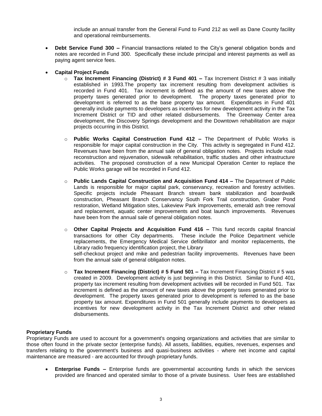include an annual transfer from the General Fund to Fund 212 as well as Dane County facility and operational reimbursements.

 **Debt Service Fund 300 –** Financial transactions related to the City's general obligation bonds and notes are recorded in Fund 300. Specifically these include principal and interest payments as well as paying agent service fees.

### **Capital Project Funds**

- o **Tax Increment Financing (District) # 3 Fund 401 –** Tax Increment District # 3 was initially established in 1993.The property tax increment resulting from development activities is recorded in Fund 401. Tax increment is defined as the amount of new taxes above the property taxes generated prior to development. The property taxes generated prior to development is referred to as the base property tax amount. Expenditures in Fund 401 generally include payments to developers as incentives for new development activity in the Tax Increment District or TID and other related disbursements. The Greenway Center area development, the Discovery Springs development and the Downtown rehabilitation are major projects occurring in this District.
- o **Public Works Capital Construction Fund 412 –** The Department of Public Works is responsible for major capital construction in the City. This activity is segregated in Fund 412. Revenues have been from the annual sale of general obligation notes. Projects include road reconstruction and rejuvenation, sidewalk rehabilitation, traffic studies and other infrastructure activities. The proposed construction of a new Municipal Operation Center to replace the Public Works garage will be recorded in Fund 412.
- o **Public Lands Capital Construction and Acquisition Fund 414 –** The Department of Public Lands is responsible for major capital park, conservancy, recreation and forestry activities. Specific projects include Pheasant Branch stream bank stabilization and boardwalk construction, Pheasant Branch Conservancy South Fork Trail construction, Graber Pond restoration, Wetland Mitigation sites, Lakeview Park improvements, emerald ash tree removal and replacement, aquatic center improvements and boat launch improvements. Revenues have been from the annual sale of general obligation notes.
- o **Other Capital Projects and Acquisition Fund 416 –** This fund records capital financial transactions for other City departments. These include the Police Department vehicle replacements, the Emergency Medical Service defibrillator and monitor replacements, the Library radio frequency identification project, the Library self-checkout project and mike and pedestrian facility improvements. Revenues have been from the annual sale of general obligation notes.
- o **Tax Increment Financing (District) # 5 Fund 501 –** Tax Increment Financing District # 5 was created in 2009. Development activity is just beginning in this District. Similar to Fund 401, property tax increment resulting from development activities will be recorded in Fund 501. Tax increment is defined as the amount of new taxes above the property taxes generated prior to development. The property taxes generated prior to development is referred to as the base property tax amount. Expenditures in Fund 501 generally include payments to developers as incentives for new development activity in the Tax Increment District and other related disbursements.

#### **Proprietary Funds**

Proprietary Funds are used to account for a government's ongoing organizations and activities that are similar to those often found in the private sector (enterprise funds). All assets, liabilities, equities, revenues, expenses and transfers relating to the government's business and quasi‐business activities ‐ where net income and capital maintenance are measured ‐ are accounted for through proprietary funds.

 **Enterprise Funds –** Enterprise funds are governmental accounting funds in which the services provided are financed and operated similar to those of a private business. User fees are established